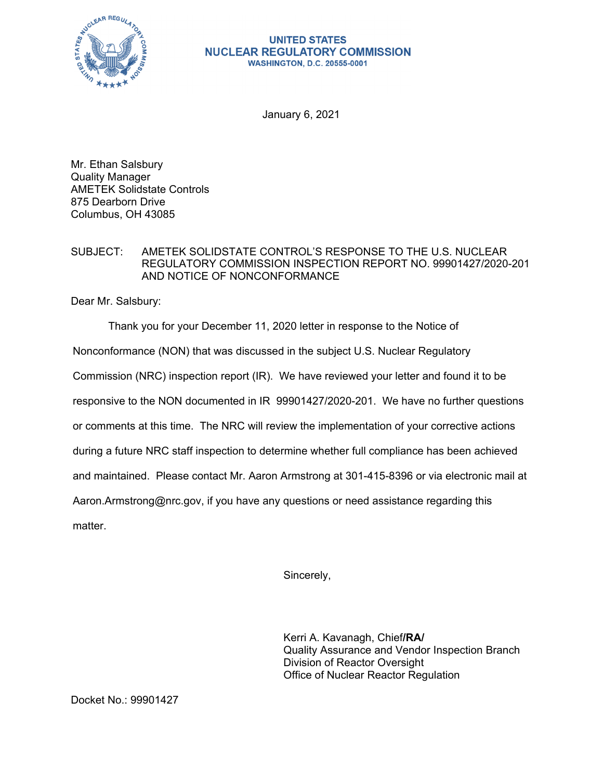

## **UNITED STATES NUCLEAR REGULATORY COMMISSION WASHINGTON, D.C. 20555-0001**

January 6, 2021

Mr. Ethan Salsbury Quality Manager AMETEK Solidstate Controls 875 Dearborn Drive Columbus, OH 43085

## SUBJECT: AMETEK SOLIDSTATE CONTROL'S RESPONSE TO THE U.S. NUCLEAR REGULATORY COMMISSION INSPECTION REPORT NO. 99901427/2020-201 AND NOTICE OF NONCONFORMANCE

Dear Mr. Salsbury:

Thank you for your December 11, 2020 letter in response to the Notice of

Nonconformance (NON) that was discussed in the subject U.S. Nuclear Regulatory

Commission (NRC) inspection report (IR). We have reviewed your letter and found it to be

responsive to the NON documented in IR 99901427/2020-201. We have no further questions

or comments at this time. The NRC will review the implementation of your corrective actions

during a future NRC staff inspection to determine whether full compliance has been achieved

and maintained. Please contact Mr. Aaron Armstrong at 301-415-8396 or via electronic mail at

Aaron.Armstrong@nrc.gov, if you have any questions or need assistance regarding this

matter.

Sincerely,

Kerri A. Kavanagh, Chief**/RA/**  Quality Assurance and Vendor Inspection Branch Division of Reactor Oversight Office of Nuclear Reactor Regulation

Docket No.: 99901427